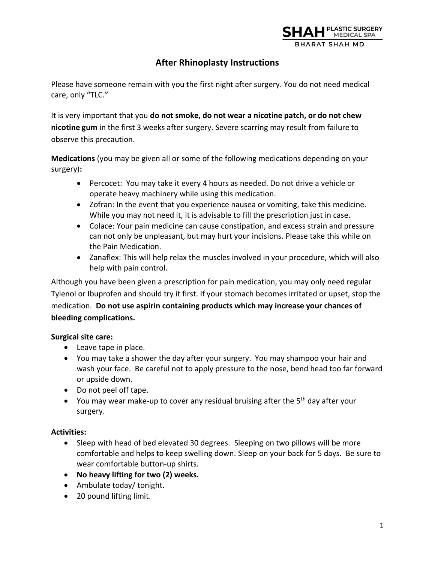

# **After Rhinoplasty Instructions**

Please have someone remain with you the first night after surgery. You do not need medical care, only "TLC."

It is very important that you **do not smoke, do not wear a nicotine patch, or do not chew nicotine gum** in the first 3 weeks after surgery. Severe scarring may result from failure to observe this precaution.

**Medications** (you may be given all or some of the following medications depending on your surgery)**:**

- Percocet: You may take it every 4 hours as needed. Do not drive a vehicle or operate heavy machinery while using this medication.
- Zofran: In the event that you experience nausea or vomiting, take this medicine. While you may not need it, it is advisable to fill the prescription just in case.
- Colace: Your pain medicine can cause constipation, and excess strain and pressure can not only be unpleasant, but may hurt your incisions. Please take this while on the Pain Medication.
- Zanaflex: This will help relax the muscles involved in your procedure, which will also help with pain control.

Although you have been given a prescription for pain medication, you may only need regular Tylenol or Ibuprofen and should try it first. If your stomach becomes irritated or upset, stop the medication. **Do not use aspirin containing products which may increase your chances of bleeding complications.** 

## **Surgical site care:**

- Leave tape in place.
- You may take a shower the day after your surgery. You may shampoo your hair and wash your face. Be careful not to apply pressure to the nose, bend head too far forward or upside down.
- Do not peel off tape.
- You may wear make-up to cover any residual bruising after the  $5<sup>th</sup>$  day after your surgery.

#### **Activities:**

- Sleep with head of bed elevated 30 degrees. Sleeping on two pillows will be more comfortable and helps to keep swelling down. Sleep on your back for 5 days. Be sure to wear comfortable button-up shirts.
- **No heavy lifting for two (2) weeks.**
- Ambulate today/ tonight.
- 20 pound lifting limit.